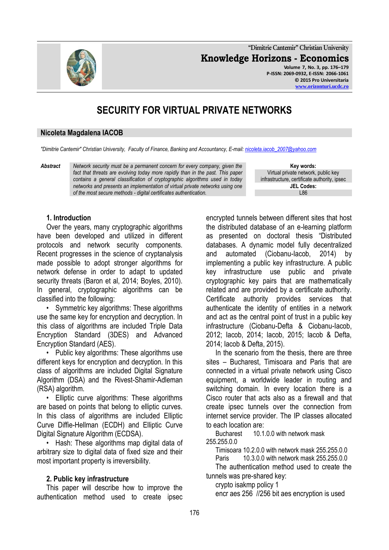**"Dimitrie Cantemir" Christian University Knowledge Horizons - Economics Volume 7, No. 3, pp. 176–179 P-ISSN: 2069-0932, E-ISSN: 2066-1061 © 2015 Pro Universitaria [www.orizonturi.ucdc.ro](http://www.orizonturi.ucdc.ro/)**

# **SECURITY FOR VIRTUAL PRIVATE NETWORKS**

#### **Nicoleta Magdalena IACOB**

*"Dimitrie Cantemir" Christian University, Faculty of Finance, Banking and Accountancy, E-mail[: nicoleta.iacob\\_2007@yahoo.com](mailto:nicoleta.iacob_2007@yahoo.com)*

*Abstract Network security must be a permanent concern for every company, given the*  fact that threats are evolving today more rapidly than in the past. This paper *contains a general classification of cryptographic algorithms used in today networks and presents an implementation of virtual private networks using one of the most secure methods - digital certificates authentication.*

**Key words:** Virtual private network, public key infrastructure, certificate authority, ipsec **JEL Codes:** L86

# **1. Introduction**

Over the years, many cryptographic algorithms have been developed and utilized in different protocols and network security components. Recent progresses in the science of cryptanalysis made possible to adopt stronger algorithms for network defense in order to adapt to updated security threats (Baron et al, 2014; Boyles, 2010). In general, cryptographic algorithms can be classified into the following:

• Symmetric key algorithms: These algorithms use the same key for encryption and decryption. In this class of algorithms are included Triple Data Encryption Standard (3DES) and Advanced Encryption Standard (AES).

• Public key algorithms: These algorithms use different keys for encryption and decryption. In this class of algorithms are included Digital Signature Algorithm (DSA) and the Rivest-Shamir-Adleman (RSA) algorithm.

• Elliptic curve algorithms: These algorithms are based on points that belong to elliptic curves. In this class of algorithms are included Elliptic Curve Diffie-Hellman (ECDH) and Elliptic Curve Digital Signature Algorithm (ECDSA).

• Hash: These algorithms map digital data of arbitrary size to digital data of fixed size and their most important property is irreversibility.

#### **2. Public key infrastructure**

This paper will describe how to improve the authentication method used to create ipsec

encrypted tunnels between different sites that host the distributed database of an e-learning platform as presented on doctoral thesis "Distributed databases. A dynamic model fully decentralized and automated (Ciobanu-Iacob, 2014) by implementing a public key infrastructure. A public key infrastructure use public and private cryptographic key pairs that are mathematically related and are provided by a certificate authority. Certificate authority provides services that authenticate the identity of entities in a network and act as the central point of trust in a public key infrastructure (Ciobanu-Defta & Ciobanu-Iacob, 2012; Iacob, 2014; Iacob, 2015; Iacob & Defta, 2014; Iacob & Defta, 2015).

In the scenario from the thesis, there are three sites – Bucharest, Timisoara and Paris that are connected in a virtual private network using Cisco equipment, a worldwide leader in routing and switching domain. In every location there is a Cisco router that acts also as a firewall and that create ipsec tunnels over the connection from internet service provider. The IP classes allocated to each location are:

Bucharest 10.1.0.0 with network mask 255.255.0.0

Timisoara 10.2.0.0 with network mask 255.255.0.0

Paris 10.3.0.0 with network mask 255.255.0.0

The authentication method used to create the tunnels was pre-shared key:

crypto isakmp policy 1 encr aes 256 //256 bit aes encryption is used

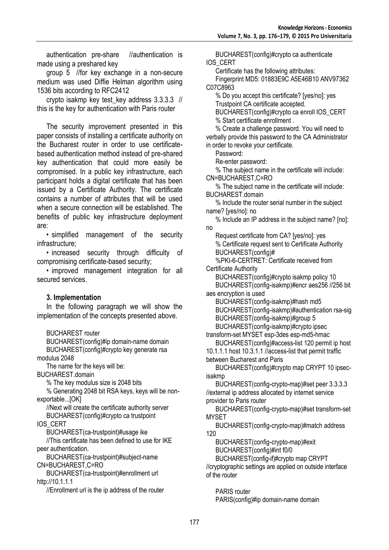authentication pre-share //authentication is made using a preshared key

group 5 //for key exchange in a non-secure medium was used Diffie Helman algorithm using 1536 bits according to RFC2412

crypto isakmp key test\_key address 3.3.3.3 // this is the key for authentication with Paris router

The security improvement presented in this paper consists of installing a certificate authority on the Bucharest router in order to use certificatebased authentication method instead of pre-shared key authentication that could more easily be compromised. In a public key infrastructure, each participant holds a digital certificate that has been issued by a Certificate Authority. The certificate contains a number of attributes that will be used when a secure connection will be established. The benefits of public key infrastructure deployment are:

• simplified management of the security infrastructure;

• increased security through difficulty of compromising certificate-based security;

• improved management integration for all secured services

# **3. Implementation**

In the following paragraph we will show the implementation of the concepts presented above.

BUCHAREST router

BUCHAREST(config)#ip domain-name domain BUCHAREST(config)#crypto key generate rsa modulus 2048

The name for the keys will be:

BUCHAREST.domain

% The key modulus size is 2048 bits

% Generating 2048 bit RSA keys, keys will be nonexportable...[OK]

//Next will create the certificate authority server BUCHAREST(config)#crypto ca trustpoint

IOS\_CERT

BUCHAREST(ca-trustpoint)#usage ike

//This certificate has been defined to use for IKE peer authentication.

BUCHAREST(ca-trustpoint)#subject-name CN=BUCHAREST,C=RO

BUCHAREST(ca-trustpoint)#enrollment url http://10.1.1.1

//Enrollment url is the ip address of the router

BUCHAREST(config)#crypto ca authenticate IOS\_CERT

Certificate has the following attributes:

Fingerprint MD5: 01883E9C A5E46B10 ANV97362 C07C8963

% Do you accept this certificate? [yes/no]: yes Trustpoint CA certificate accepted.

BUCHAREST(config)#crypto ca enroll IOS\_CERT % Start certificate enrollment .

% Create a challenge password. You will need to verbally provide this password to the CA Administrator in order to revoke your certificate.

Password:

Re-enter password:

% The subject name in the certificate will include: CN=BUCHAREST,C=RO

% The subject name in the certificate will include: BUCHAREST.domain

% Include the router serial number in the subject name? [yes/no]: no

% Include an IP address in the subject name? [no]: no

Request certificate from CA? [yes/no]: yes % Certificate request sent to Certificate Authority BUCHAREST(config)#

%PKI-6-CERTRET: Certificate received from Certificate Authority

BUCHAREST(config)#crypto isakmp policy 10 BUCHAREST(config-isakmp)#encr aes256 //256 bit

aes encryption is used BUCHAREST(config-isakmp)#hash md5 BUCHAREST(config-isakmp)#authentication rsa-sig BUCHAREST(config-isakmp)#group 5 BUCHAREST(config-isakmp)#crypto ipsec

transform-set MYSET esp-3des esp-md5-hmac

BUCHAREST(config)#access-list 120 permit ip host 10.1.1.1 host 10.3.1.1 //access-list that permit traffic between Bucharest and Paris

BUCHAREST(config)#crypto map CRYPT 10 ipsecisakmp

BUCHAREST(config-crypto-map)#set peer 3.3.3.3 //external ip address allocated by internet service provider to Paris router

BUCHAREST(config-crypto-map)#set transform-set MYSET

BUCHAREST(config-crypto-map)#match address 120

BUCHAREST(config-crypto-map)#exit BUCHAREST(config)#int f0/0

BUCHAREST(config-if)#crypto map CRYPT

//cryptographic settings are applied on outside interface of the router

PARIS router PARIS(config)#ip domain-name domain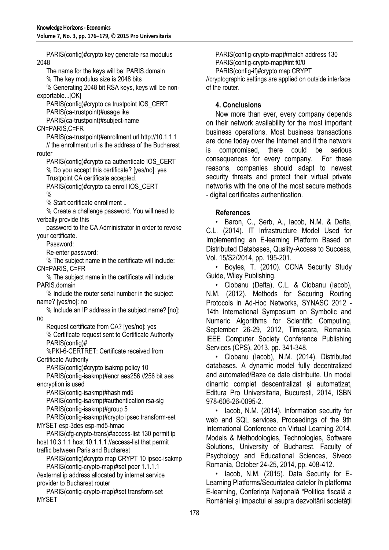PARIS(config)#crypto key generate rsa modulus 2048 The name for the keys will be: PARIS.domain % The key modulus size is 2048 bits % Generating 2048 bit RSA keys, keys will be nonexportable...[OK] PARIS(config)#crypto ca trustpoint IOS\_CERT PARIS(ca-trustpoint)#usage ike PARIS(ca-trustpoint)#subject-name CN=PARIS,C=FR PARIS(ca-trustpoint)#enrollment url http://10.1.1.1 // the enrollment url is the address of the Bucharest router PARIS(config)#crypto ca authenticate IOS\_CERT % Do you accept this certificate? [yes/no]: yes Trustpoint CA certificate accepted. PARIS(config)#crypto ca enroll IOS\_CERT  $\frac{0}{0}$ % Start certificate enrollment .. % Create a challenge password. You will need to verbally provide this password to the CA Administrator in order to revoke your certificate. Password: Re-enter password: % The subject name in the certificate will include: CN=PARIS, C=FR % The subject name in the certificate will include: PARIS.domain % Include the router serial number in the subject name? [yes/no]: no % Include an IP address in the subject name? [no]: no Request certificate from CA? [yes/no]: yes % Certificate request sent to Certificate Authority PARIS(config)# %PKI-6-CERTRET: Certificate received from Certificate Authority PARIS(config)#crypto isakmp policy 10 PARIS(config-isakmp)#encr aes256 //256 bit aes encryption is used PARIS(config-isakmp)#hash md5 PARIS(config-isakmp)#authentication rsa-sig PARIS(config-isakmp)#group 5 PARIS(config-isakmp)#crypto ipsec transform-set MYSET esp-3des esp-md5-hmac PARIS(cfg-crypto-trans)#access-list 130 permit ip host 10.3.1.1 host 10.1.1.1 //access-list that permit traffic between Paris and Bucharest PARIS(config)#crypto map CRYPT 10 ipsec-isakmp PARIS(config-crypto-map)#set peer 1.1.1.1 //external ip address allocated by internet service provider to Bucharest router PARIS(config-crypto-map)#set transform-set MYSET

PARIS(config-crypto-map)#match address 130 PARIS(config-crypto-map)#int f0/0 PARIS(config-if)#crypto map CRYPT //cryptographic settings are applied on outside interface of the router.

# **4. Conclusions**

Now more than ever, every company depends on their network availability for the most important business operations. Most business transactions are done today over the Internet and if the network is compromised, there could be serious consequences for every company. For these reasons, companies should adapt to newest security threats and protect their virtual private networks with the one of the most secure methods - digital certificates authentication.

# **References**

• Baron, C., Șerb, A., Iacob, N.M. & Defta, C.L. (2014). IT Infrastructure Model Used for Implementing an E-learning Platform Based on Distributed Databases, Quality-Access to Success, Vol. 15/S2/2014, pp. 195-201.

• Boyles, T. (2010). CCNA Security Study Guide, Wiley Publishing.

• Ciobanu (Defta), C.L. & Ciobanu (Iacob), N.M. (2012). Methods for Securing Routing Protocols in Ad-Hoc Networks, SYNASC 2012 - 14th International Symposium on Symbolic and Numeric Algorithms for Scientific Computing, September 26-29, 2012, Timișoara, Romania, IEEE Computer Society Conference Publishing Services (CPS), 2013, pp. 341-348.

• Ciobanu (Iacob), N.M. (2014). Distributed databases. A dynamic model fully decentralized and automated/Baze de date distribuite. Un model dinamic complet descentralizat și automatizat, Editura Pro Universitaria, București, 2014, ISBN 978-606-26-0095-2.

• Iacob, N.M. (2014). Information security for web and SQL services, Proceedings of the 9th International Conference on Virtual Learning 2014. Models & Methodologies, Technologies, Software Solutions, University of Bucharest, Faculty of Psychology and Educational Sciences, Siveco Romania, October 24-25, 2014, pp. 408-412.

• Iacob, N.M. (2015). Data Security for E-Learning Platforms/Securitatea datelor în platforma E-learning, Conferința Naţională "Politica fiscală a României şi impactul ei asupra dezvoltării societăţii